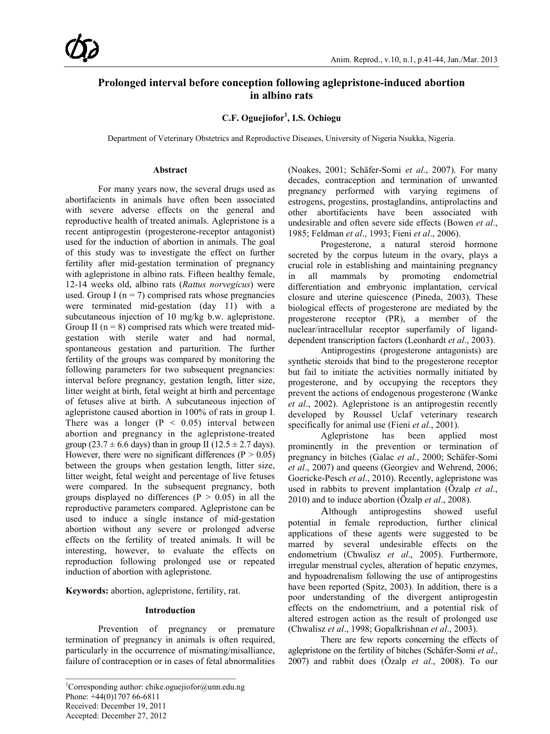# **Prolonged interval before conception following aglepristone-induced abortion in albino rats**

**C.F. Oguejiofor<sup>1</sup> , I.S. Ochiogu**

Department of Veterinary Obstetrics and Reproductive Diseases, University of Nigeria Nsukka, Nigeria.

# **Abstract**

For many years now, the several drugs used as abortifacients in animals have often been associated with severe adverse effects on the general and reproductive health of treated animals. Aglepristone is a recent antiprogestin (progesterone-receptor antagonist) used for the induction of abortion in animals. The goal of this study was to investigate the effect on further fertility after mid-gestation termination of pregnancy with aglepristone in albino rats. Fifteen healthy female, 12-14 weeks old, albino rats (*Rattus norvegicus*) were used. Group I ( $n = 7$ ) comprised rats whose pregnancies were terminated mid-gestation (day 11) with a subcutaneous injection of 10 mg/kg b.w. aglepristone. Group II ( $n = 8$ ) comprised rats which were treated midgestation with sterile water and had normal, spontaneous gestation and parturition. The further fertility of the groups was compared by monitoring the following parameters for two subsequent pregnancies: interval before pregnancy, gestation length, litter size, litter weight at birth, fetal weight at birth and percentage of fetuses alive at birth. A subcutaneous injection of aglepristone caused abortion in 100% of rats in group I. There was a longer  $(P < 0.05)$  interval between abortion and pregnancy in the aglepristone-treated group (23.7  $\pm$  6.6 days) than in group II (12.5  $\pm$  2.7 days). However, there were no significant differences ( $P > 0.05$ ) between the groups when gestation length, litter size, litter weight, fetal weight and percentage of live fetuses were compared. In the subsequent pregnancy, both groups displayed no differences ( $P > 0.05$ ) in all the reproductive parameters compared. Aglepristone can be used to induce a single instance of mid-gestation abortion without any severe or prolonged adverse effects on the fertility of treated animals. It will be interesting, however, to evaluate the effects on reproduction following prolonged use or repeated induction of abortion with aglepristone.

**Keywords:** abortion, aglepristone, fertility, rat.

# **Introduction**

Prevention of pregnancy or premature termination of pregnancy in animals is often required, particularly in the occurrence of mismating/misalliance, failure of contraception or in cases of fetal abnormalities (Noakes, 2001; Schäfer-Somi *et al*., 2007). For many decades, contraception and termination of unwanted pregnancy performed with varying regimens of estrogens, progestins, prostaglandins, antiprolactins and other abortifacients have been associated with undesirable and often severe side effects (Bowen *et al*., 1985; Feldman *et al*., 1993; Fieni *et al*., 2006).

Progesterone, a natural steroid hormone secreted by the corpus luteum in the ovary, plays a crucial role in establishing and maintaining pregnancy in all mammals by promoting endometrial differentiation and embryonic implantation, cervical closure and uterine quiescence (Pineda, 2003). These biological effects of progesterone are mediated by the progesterone receptor (PR), a member of the nuclear/intracellular receptor superfamily of liganddependent transcription factors (Leonhardt *et al*., 2003).

Antiprogestins (progesterone antagonists) are synthetic steroids that bind to the progesterone receptor but fail to initiate the activities normally initiated by progesterone, and by occupying the receptors they prevent the actions of endogenous progesterone (Wanke *et al*., 2002). Aglepristone is an antiprogestin recently developed by Roussel Uclaf veterinary research specifically for animal use (Fieni *et al*., 2001).

Aglepristone has been applied most prominently in the prevention or termination of pregnancy in bitches (Galac *et al*., 2000; Schäfer-Somi *et al*., 2007) and queens (Georgiev and Wehrend, 2006; Goericke-Pesch *et al*., 2010). Recently, aglepristone was used in rabbits to prevent implantation (Özalp *et al*., 2010) and to induce abortion (Özalp *et al*., 2008).

Although antiprogestins showed useful potential in female reproduction, further clinical applications of these agents were suggested to be marred by several undesirable effects on the endometrium (Chwalisz *et al*., 2005). Furthermore, irregular menstrual cycles, alteration of hepatic enzymes, and hypoadrenalism following the use of antiprogestins have been reported (Spitz, 2003). In addition, there is a poor understanding of the divergent antiprogestin effects on the endometrium, and a potential risk of altered estrogen action as the result of prolonged use (Chwalisz *et al*., 1998; Gopalkrishnan *et al*., 2003).

There are few reports concerning the effects of aglepristone on the fertility of bitches (Schäfer-Somi *et al*., 2007) and rabbit does (Özalp *et al*., 2008). To our

<sup>1</sup> Corresponding author: chike.oguejiofor@unn.edu.ng Phone: +44(0)1707 66-6811 Received: December 19, 2011 Accepted: December 27, 2012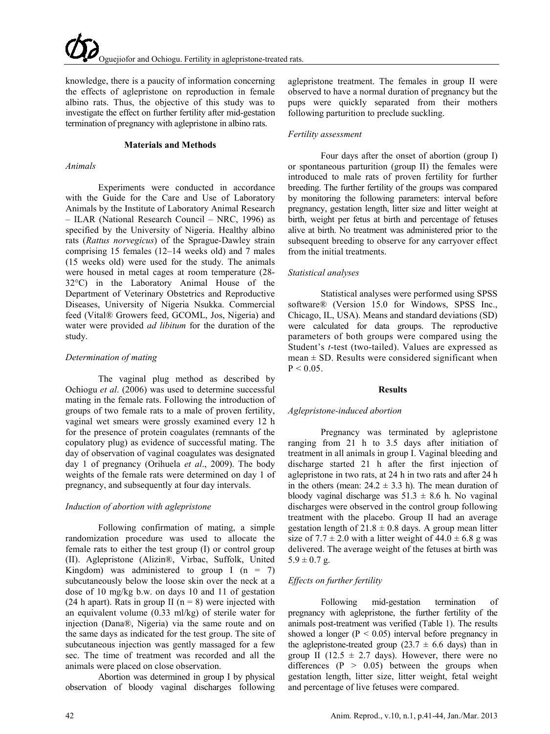knowledge, there is a paucity of information concerning the effects of aglepristone on reproduction in female albino rats. Thus, the objective of this study was to investigate the effect on further fertility after mid-gestation termination of pregnancy with aglepristone in albino rats.

#### **Materials and Methods**

#### *Animals*

Experiments were conducted in accordance with the Guide for the Care and Use of Laboratory Animals by the Institute of Laboratory Animal Research – ILAR (National Research Council – NRC, 1996) as specified by the University of Nigeria. Healthy albino rats (*Rattus norvegicus*) of the Sprague-Dawley strain comprising 15 females (12–14 weeks old) and 7 males (15 weeks old) were used for the study. The animals were housed in metal cages at room temperature (28- 32°C) in the Laboratory Animal House of the Department of Veterinary Obstetrics and Reproductive Diseases, University of Nigeria Nsukka. Commercial feed (Vital® Growers feed, GCOML, Jos, Nigeria) and water were provided *ad libitum* for the duration of the study.

#### *Determination of mating*

The vaginal plug method as described by Ochiogu *et al*. (2006) was used to determine successful mating in the female rats. Following the introduction of groups of two female rats to a male of proven fertility, vaginal wet smears were grossly examined every 12 h for the presence of protein coagulates (remnants of the copulatory plug) as evidence of successful mating. The day of observation of vaginal coagulates was designated day 1 of pregnancy (Orihuela *et al*., 2009). The body weights of the female rats were determined on day 1 of pregnancy, and subsequently at four day intervals.

#### *Induction of abortion with aglepristone*

Following confirmation of mating, a simple randomization procedure was used to allocate the female rats to either the test group (I) or control group (II). Aglepristone (Alizin®, Virbac, Suffolk, United Kingdom) was administered to group I ( $n = 7$ ) subcutaneously below the loose skin over the neck at a dose of 10 mg/kg b.w. on days 10 and 11 of gestation (24 h apart). Rats in group II ( $n = 8$ ) were injected with an equivalent volume (0.33 ml/kg) of sterile water for injection (Dana®, Nigeria) via the same route and on the same days as indicated for the test group. The site of subcutaneous injection was gently massaged for a few sec. The time of treatment was recorded and all the animals were placed on close observation.

Abortion was determined in group I by physical observation of bloody vaginal discharges following aglepristone treatment. The females in group II were observed to have a normal duration of pregnancy but the pups were quickly separated from their mothers following parturition to preclude suckling.

#### *Fertility assessment*

Four days after the onset of abortion (group I) or spontaneous parturition (group II) the females were introduced to male rats of proven fertility for further breeding. The further fertility of the groups was compared by monitoring the following parameters: interval before pregnancy, gestation length, litter size and litter weight at birth, weight per fetus at birth and percentage of fetuses alive at birth. No treatment was administered prior to the subsequent breeding to observe for any carryover effect from the initial treatments.

### *Statistical analyses*

Statistical analyses were performed using SPSS software® (Version 15.0 for Windows, SPSS Inc., Chicago, IL, USA). Means and standard deviations (SD) were calculated for data groups. The reproductive parameters of both groups were compared using the Student's *t*-test (two-tailed). Values are expressed as  $mean \pm SD$ . Results were considered significant when  $P < 0.05$ .

#### **Results**

#### *Aglepristone-induced abortion*

Pregnancy was terminated by aglepristone ranging from 21 h to 3.5 days after initiation of treatment in all animals in group I. Vaginal bleeding and discharge started 21 h after the first injection of aglepristone in two rats, at 24 h in two rats and after 24 h in the others (mean:  $24.2 \pm 3.3$  h). The mean duration of bloody vaginal discharge was  $51.3 \pm 8.6$  h. No vaginal discharges were observed in the control group following treatment with the placebo. Group II had an average gestation length of  $21.8 \pm 0.8$  days. A group mean litter size of  $7.7 \pm 2.0$  with a litter weight of  $44.0 \pm 6.8$  g was delivered. The average weight of the fetuses at birth was  $5.9 \pm 0.7$  g.

# *Effects on further fertility*

Following mid-gestation termination of pregnancy with aglepristone, the further fertility of the animals post-treatment was verified (Table 1). The results showed a longer ( $P < 0.05$ ) interval before pregnancy in the aglepristone-treated group (23.7  $\pm$  6.6 days) than in group II (12.5  $\pm$  2.7 days). However, there were no differences  $(P > 0.05)$  between the groups when gestation length, litter size, litter weight, fetal weight and percentage of live fetuses were compared.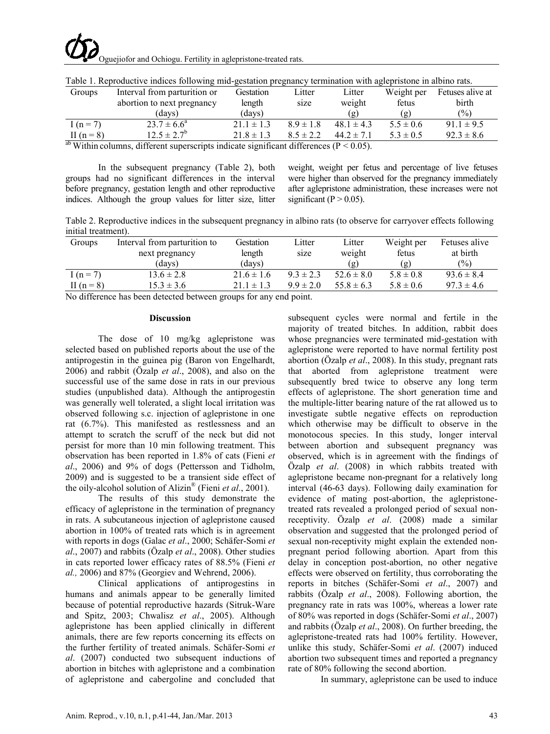|              | ັ                            |                |                        |                                       | ັ             |                  |
|--------------|------------------------------|----------------|------------------------|---------------------------------------|---------------|------------------|
| Groups       | Interval from parturition or | Gestation      | Litter                 | Litter                                | Weight per    | Fetuses alive at |
|              | abortion to next pregnancy   | length         | size                   | weight                                | fetus         | birth            |
|              | (days)                       | (davs)         |                        | $\left( \mathbf{g} \right)$           | ( ဂ္ဂ၂        | $\frac{(0)}{0}$  |
| $I(n = 7)$   | $23.7 \pm 6.6^a$             | $21.1 \pm 1.3$ | $89 \pm 18$            | $48.1 \pm 4.3$                        | $5.5 \pm 0.6$ | $91.1 \pm 9.5$   |
| II $(n = 8)$ | $12.5 \pm 2.7^{\circ}$       | $21.8 \pm 1.3$ | $8.5 \pm 2.2$          | $44.2 \pm 7.1$                        | $5.3 \pm 0.5$ | $92.3 \pm 8.6$   |
| $ab - b$     | $\cdots$                     |                | $\cdot$ $\cdot$ $\sim$ | $\sqrt{2}$ $\wedge$ $\wedge$ $\wedge$ |               |                  |

Table 1. Reproductive indices following mid-gestation pregnancy termination with aglepristone in albino rats.

<sup>ab</sup> Within columns, different superscripts indicate significant differences ( $P < 0.05$ ).

In the subsequent pregnancy (Table 2), both groups had no significant differences in the interval before pregnancy, gestation length and other reproductive indices. Although the group values for litter size, litter weight, weight per fetus and percentage of live fetuses were higher than observed for the pregnancy immediately after aglepristone administration, these increases were not significant ( $P > 0.05$ ).

Table 2. Reproductive indices in the subsequent pregnancy in albino rats (to observe for carryover effects following initial treatment).

| Groups                                                                                                                                                                                                                                                                                                                                                                                                                                                      | Interval from parturition to<br>next pregnancy | Gestation<br>length | Litter<br>size | Litter<br>weight | Weight per<br>fetus | Fetuses alive<br>at birth |  |  |  |
|-------------------------------------------------------------------------------------------------------------------------------------------------------------------------------------------------------------------------------------------------------------------------------------------------------------------------------------------------------------------------------------------------------------------------------------------------------------|------------------------------------------------|---------------------|----------------|------------------|---------------------|---------------------------|--|--|--|
|                                                                                                                                                                                                                                                                                                                                                                                                                                                             | (davs)                                         | (days)              |                | (  )             | (g)                 | $(\%)$                    |  |  |  |
| I $(n = 7)$                                                                                                                                                                                                                                                                                                                                                                                                                                                 | $13.6 \pm 2.8$                                 | $21.6 \pm 1.6$      | $9.3 \pm 2.3$  | $52.6 \pm 8.0$   | $5.8 \pm 0.8$       | $93.6 \pm 8.4$            |  |  |  |
| II $(n=8)$                                                                                                                                                                                                                                                                                                                                                                                                                                                  | $15.3 \pm 3.6$                                 | $21.1 \pm 1.3$      | $9.9 \pm 2.0$  | $55.8 \pm 6.3$   | $5.8 \pm 0.6$       | $97.3 \pm 4.6$            |  |  |  |
| $\mathcal{M} = \mathcal{W} \mathcal{O} \qquad \qquad \mathcal{W} = \mathcal{W} \mathcal{M} = \mathcal{W} \mathcal{M} = \mathcal{W} \mathcal{M} = \mathcal{W} \mathcal{M} = \mathcal{W} \mathcal{M} = \mathcal{W} \mathcal{M} = \mathcal{W} \mathcal{M} = \mathcal{W} \mathcal{M} = \mathcal{W} \mathcal{M} = \mathcal{W} \mathcal{M} = \mathcal{W} \mathcal{M} = \mathcal{W} \mathcal{M} = \mathcal{W} \mathcal{M} = \mathcal{W} \mathcal{M} = \mathcal{W}$ |                                                |                     |                |                  |                     |                           |  |  |  |

No difference has been detected between groups for any end point.

#### **Discussion**

The dose of 10 mg/kg aglepristone was selected based on published reports about the use of the antiprogestin in the guinea pig (Baron von Engelhardt, 2006) and rabbit (Özalp *et al*., 2008), and also on the successful use of the same dose in rats in our previous studies (unpublished data). Although the antiprogestin was generally well tolerated, a slight local irritation was observed following s.c. injection of aglepristone in one rat (6.7%). This manifested as restlessness and an attempt to scratch the scruff of the neck but did not persist for more than 10 min following treatment. This observation has been reported in 1.8% of cats (Fieni *et al*., 2006) and 9% of dogs (Pettersson and Tidholm, 2009) and is suggested to be a transient side effect of the oily-alcohol solution of Alizin® (Fieni *et al*., 2001).

The results of this study demonstrate the efficacy of aglepristone in the termination of pregnancy in rats. A subcutaneous injection of aglepristone caused abortion in 100% of treated rats which is in agreement with reports in dogs (Galac *et al*., 2000; Schäfer-Somi *et al*., 2007) and rabbits (Özalp *et al*., 2008). Other studies in cats reported lower efficacy rates of 88.5% (Fieni *et al.,* 2006) and 87% (Georgiev and Wehrend, 2006).

Clinical applications of antiprogestins in humans and animals appear to be generally limited because of potential reproductive hazards (Sitruk-Ware and Spitz, 2003; Chwalisz *et al*., 2005). Although aglepristone has been applied clinically in different animals, there are few reports concerning its effects on the further fertility of treated animals. Schäfer-Somi *et al*. (2007) conducted two subsequent inductions of abortion in bitches with aglepristone and a combination of aglepristone and cabergoline and concluded that

subsequent cycles were normal and fertile in the majority of treated bitches. In addition, rabbit does whose pregnancies were terminated mid-gestation with aglepristone were reported to have normal fertility post abortion (Özalp *et al*., 2008). In this study, pregnant rats that aborted from aglepristone treatment were subsequently bred twice to observe any long term effects of aglepristone. The short generation time and the multiple-litter bearing nature of the rat allowed us to investigate subtle negative effects on reproduction which otherwise may be difficult to observe in the monotocous species. In this study, longer interval between abortion and subsequent pregnancy was observed, which is in agreement with the findings of Özalp *et al*. (2008) in which rabbits treated with aglepristone became non-pregnant for a relatively long interval (46-63 days). Following daily examination for evidence of mating post-abortion, the aglepristonetreated rats revealed a prolonged period of sexual nonreceptivity. Özalp *et al*. (2008) made a similar observation and suggested that the prolonged period of sexual non-receptivity might explain the extended nonpregnant period following abortion. Apart from this delay in conception post-abortion, no other negative effects were observed on fertility, thus corroborating the reports in bitches (Schäfer-Somi *et al*., 2007) and rabbits (Özalp *et al*., 2008). Following abortion, the pregnancy rate in rats was 100%, whereas a lower rate of 80% was reported in dogs (Schäfer-Somi *et al*., 2007) and rabbits (Özalp *et al*., 2008). On further breeding, the aglepristone-treated rats had 100% fertility. However, unlike this study, Schäfer-Somi *et al*. (2007) induced abortion two subsequent times and reported a pregnancy rate of 80% following the second abortion.

In summary, aglepristone can be used to induce